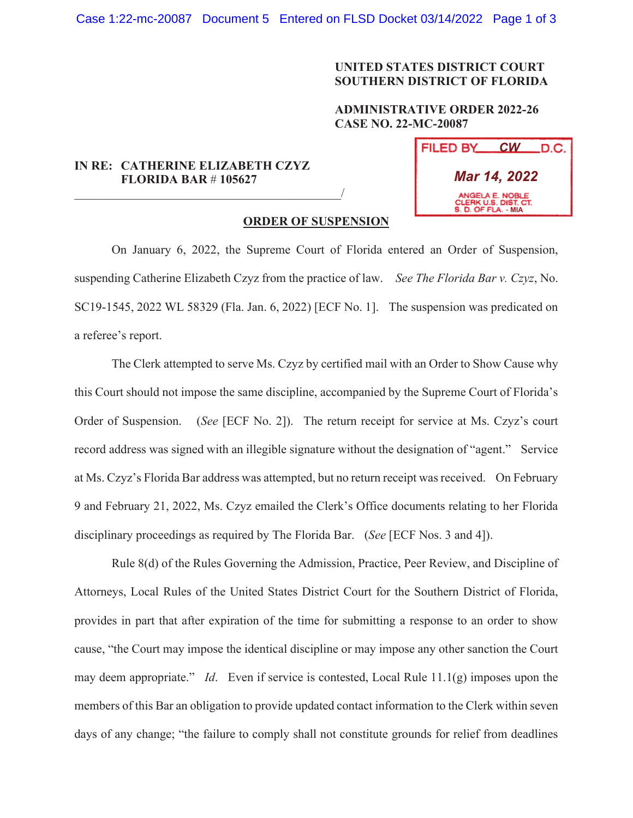## **UNITED STATES DISTRICT COURT SOUTHERN DISTRICT OF FLORIDA**

## **ADMINISTRATIVE ORDER 2022-26 CASE NO. 22-MC-20087**

## **IN RE: CATHERINE ELIZABETH CZYZ FLORIDA BAR** # **105627**   $\overline{\phantom{a}}$  , which is a set of the set of the set of the set of the set of the set of the set of the set of the set of the set of the set of the set of the set of the set of the set of the set of the set of the set of th

| FILED BY                                                       | $CW$ D.C. |
|----------------------------------------------------------------|-----------|
| Mar 14, 2022                                                   |           |
| ANGELA E. NOBLE<br>CLERK U.S. DIST. CT.<br>S. D. OF FLA. - MIA |           |

## **ORDER OF SUSPENSION**

On January 6, 2022, the Supreme Court of Florida entered an Order of Suspension, suspending Catherine Elizabeth Czyz from the practice of law. *See The Florida Bar v. Czyz*, No. SC19-1545, 2022 WL 58329 (Fla. Jan. 6, 2022) [ECF No. 1]. The suspension was predicated on a referee's report.

The Clerk attempted to serve Ms. Czyz by certified mail with an Order to Show Cause why this Court should not impose the same discipline, accompanied by the Supreme Court of Florida's Order of Suspension. (*See* [ECF No. 2]). The return receipt for service at Ms. Czyz's court record address was signed with an illegible signature without the designation of "agent." Service at Ms. Czyz's Florida Bar address was attempted, but no return receipt was received. On February 9 and February 21, 2022, Ms. Czyz emailed the Clerk's Office documents relating to her Florida disciplinary proceedings as required by The Florida Bar. (*See* [ECF Nos. 3 and 4]).

Rule 8(d) of the Rules Governing the Admission, Practice, Peer Review, and Discipline of Attorneys, Local Rules of the United States District Court for the Southern District of Florida, provides in part that after expiration of the time for submitting a response to an order to show cause, "the Court may impose the identical discipline or may impose any other sanction the Court may deem appropriate." *Id*. Even if service is contested, Local Rule 11.1(g) imposes upon the members of this Bar an obligation to provide updated contact information to the Clerk within seven days of any change; "the failure to comply shall not constitute grounds for relief from deadlines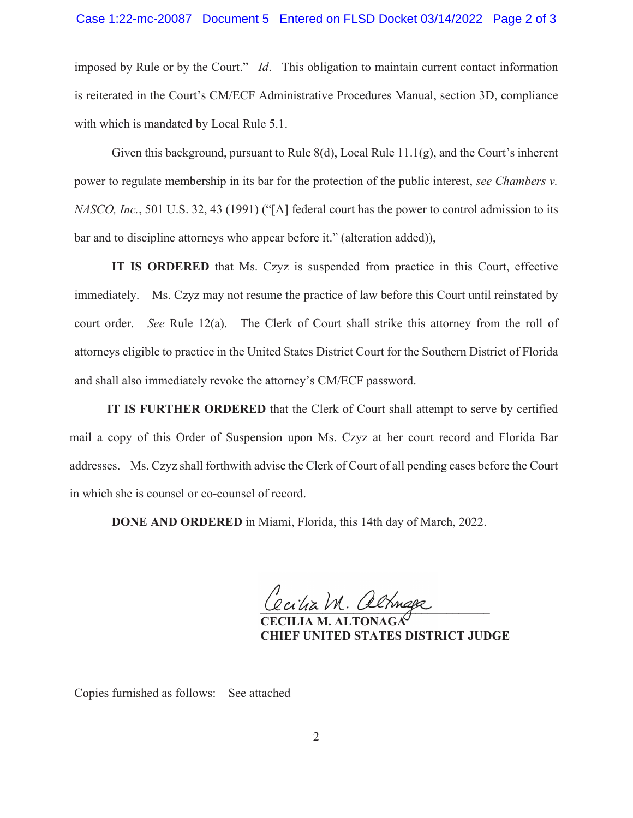imposed by Rule or by the Court." *Id*. This obligation to maintain current contact information is reiterated in the Court's CM/ECF Administrative Procedures Manual, section 3D, compliance with which is mandated by Local Rule 5.1.

Given this background, pursuant to Rule  $8(d)$ , Local Rule  $11.1(g)$ , and the Court's inherent power to regulate membership in its bar for the protection of the public interest, *see Chambers v. NASCO, Inc.*, 501 U.S. 32, 43 (1991) ("[A] federal court has the power to control admission to its bar and to discipline attorneys who appear before it." (alteration added)),

**IT IS ORDERED** that Ms. Czyz is suspended from practice in this Court, effective immediately. Ms. Czyz may not resume the practice of law before this Court until reinstated by court order. *See* Rule 12(a). The Clerk of Court shall strike this attorney from the roll of attorneys eligible to practice in the United States District Court for the Southern District of Florida and shall also immediately revoke the attorney's CM/ECF password.

**IT IS FURTHER ORDERED** that the Clerk of Court shall attempt to serve by certified mail a copy of this Order of Suspension upon Ms. Czyz at her court record and Florida Bar addresses. Ms. Czyz shall forthwith advise the Clerk of Court of all pending cases before the Court in which she is counsel or co-counsel of record.

**DONE AND ORDERED** in Miami, Florida, this 14th day of March, 2022.

Cecitia M. altnaga

 **CECILIA M. ALTONAGA CHIEF UNITED STATES DISTRICT JUDGE** 

Copies furnished as follows: See attached